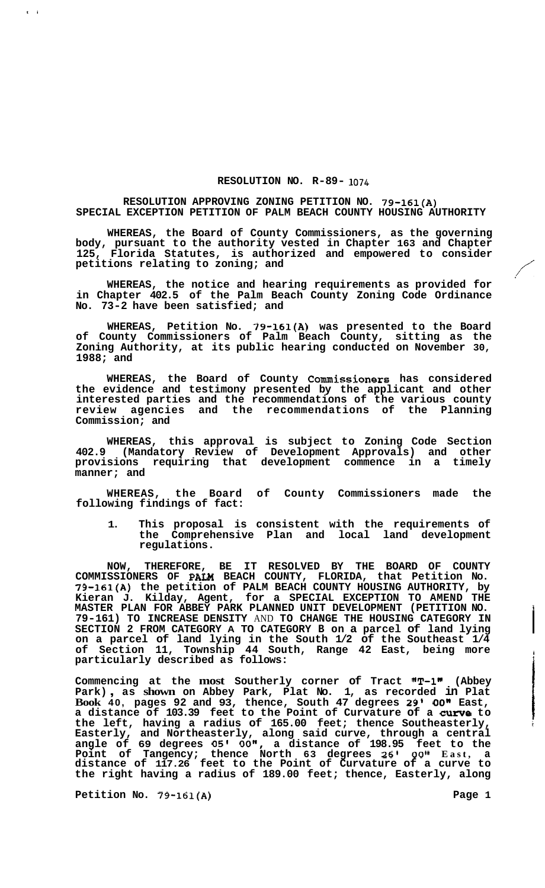## **RESOLUTION NO. R-89- 1074**

## **RESOLUTION APPROVING ZONING PETITION NO. 79-161(A) SPECIAL EXCEPTION PETITION OF PALM BEACH COUNTY HOUSING AUTHORITY**

**WHEREAS, the Board of County Commissioners, as the governing body, pursuant to the authority vested in Chapter 163 and Chapter 125, Florida Statutes, is authorized and empowered to consider**  body, pursuant to the authority vested in Chapter 163 and Chapter 125, Florida Statutes, is authorized and empowered to consider petitions relating to zoning; and<br>WHEREAS, the notice and hearing requirements as provided fo

**WHEREAS, the notice and hearing requirements as provided for in Chapter 402.5 of the Palm Beach County Zoning Code Ordinance No. 73-2 have been satisfied; and** 

**WHEREAS, Petition No. 79-161(A) was presented to the Board of County Commissioners of Palm Beach County, sitting as the Zoning Authority, at its public hearing conducted on November 30, 1988; and** 

**WHEREAS, the Board of County Commissioners has considered the evidence and testimony presented by the applicant and other interested parties and the recommendations of the various county review agencies and the recommendations of the Planning Commission; and** 

**WHEREAS, this approval is subject to Zoning Code Section 402.9 (Mandatory Review of Development Approvals) and other provisions requiring that development commence in a timely manner; and** 

**WHEREAS, the Board of County Commissioners made the following findings of fact:** 

**1. This proposal is consistent with the requirements of the Comprehensive Plan and local land development regulations.** 

**NOW, THEREFORE, BE IT RESOLVED BY THE BOARD OF COUNTY COMMISSIONERS OF PAM BEACH COUNTY, FLORIDA, that Petition No. 79-161(A) the petition of PALM BEACH COUNTY HOUSING AUTHORITY, by Kieran J. Kilday, Agent, for a SPECIAL EXCEPTION TO AMEND THE MASTER PLAN FOR ABBEY PARK PLANNED UNIT DEVELOPMENT (PETITION NO.** i **79-161) TO INCREASE DENSITY** AND **TO CHANGE THE HOUSING CATEGORY IN SECTION 2 FROM CATEGORY A TO CATEGORY B on a parcel of land lying on a parcel of land lying in the South 1/2 of the Southeast 1/4 of Section 11, Township 44 South, Range 42 East, being more particularly described as follows:** 

**Commencing at the most Southerly corner of Tract "T-1" (Abbey Park)** , **as shown on Abbey Park, Plat No. 1, as recorded in Plat Book 40, pages 92 and 93, thence, South 47 degrees** *29'* **OON East, a distance of 103.39 feet to the Point of Curvature of a curve to the left, having a radius of 165.00 feet; thence Southeasterly,** *<sup>i</sup>* **Easterly, and Northeasterly, along said curve, through a central angle of 69 degrees 05'** *OO",* **a distance of 198.95 feet to the Point of Tangency; thence North 63 degrees 26'** *00"* **East, a distance of 117.26 feet to the Point of Curvature of a curve to the right having a radius of 189.00 feet; thence, Easterly, along** 

Petition No. 79-161(A) Page 1

**ti** 

i **4**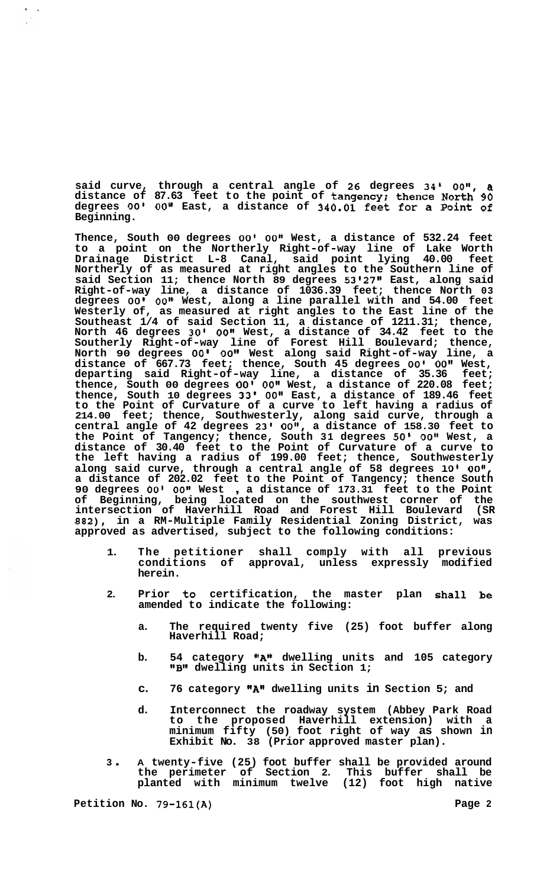**said curve, through a central angle of 26 degrees 34'** *oo",* **a distance of 87.63 feet to the point of tangency; thence North 90 degrees** *00' 00''* **East, a distance of 340.01 feet for a Point of Beginning.** 

**Thence, South 00 degrees** *00' 00"* **West, a distance of 532.24 feet to a point on the Northerly Right-of-way line of Lake Worth Drainage District L-8 Canal, said point lying 40.00 feet Northerly of as measured at right angles to the Southern line of said Section 11; thence North 89 degrees 53127'1 East, along said Right-of-way line, a distance of 1036.39 feet; thence North 03 degrees** *00' 00"* **West, along a line parallel with and 54.00 feet Westerly of, as measured at right angles to the East line of the Southeast 1/4 of said Section 11, a distance of 1211.31; thence, North 46 degrees 30'** *00"* **West, a distance of 34.42 feet to the Southerly Right-of-way line of Forest Hill Boulevard; thence, North 90 degrees** *00' 00''* **West along said Right-of-way line, a distance of 667.73 feet; thence, South 45 degrees** *00' 00"* **West, departing said Right-of-way line, a distance of 35.36 feet; thence, South 00 degrees** *00' 00"* **West, a distance of 220.08 feet; thence, South 10 degrees 33'** *00"* **East, a distance of 189.46 feet to the Point of Curvature of a curve to left having a radius of 214.00 feet; thence, Southwesterly, along said curve, through a central angle of 42 degrees 23' OOI', a distance of 158.30 feet to the Point of Tangency; thence, South 31 degrees** *50' 00''* **West, a distance of 30.40 feet to the Point of Curvature of a curve to the left having a radius of 199.00 feet; thence, Southwesterly along said curve, through a central angle of 58 degrees 10' 008', a distance of 202.02 feet to the Point of Tangency; thence South 90 degrees** *00' 00"* **West** , **a distance of 173.31 feet to the Point of Beginning, being located on the southwest corner of the intersection of Haverhill Road and Forest Hill Boulevard (SR 882), in a RM-Multiple Family Residential Zoning District, was approved as advertised, subject to the following conditions:** 

- **1. The petitioner shall comply with all previous conditions of approval, unless expressly modified herein.**
- **2. Prior to certification, the master plan shall be amended to indicate the following:** 
	- **a. The required twenty five (25) foot buffer along Haverhill Road;**
	- **b. 54 category ''An dwelling units and 105 category 18B1' dwelling units in Section 1;**
	- **c. 76 category "A" dwelling units in Section 5; and**
	- **d. Interconnect the roadway system (Abbey Park Road to the proposed Haverhill extension) with a minimum fifty (50) foot right of way as shown in Exhibit No. 38 (Prior approved master plan).**
- **<sup>3</sup>**. **A twenty-five (25) foot buffer shall be provided around the perimeter of Section 2. This buffer shall be planted with minimum twelve (12) foot high native**

Petition No. 79-161(A) **Page 2 Page 2** 

 $\epsilon_{\rm max}$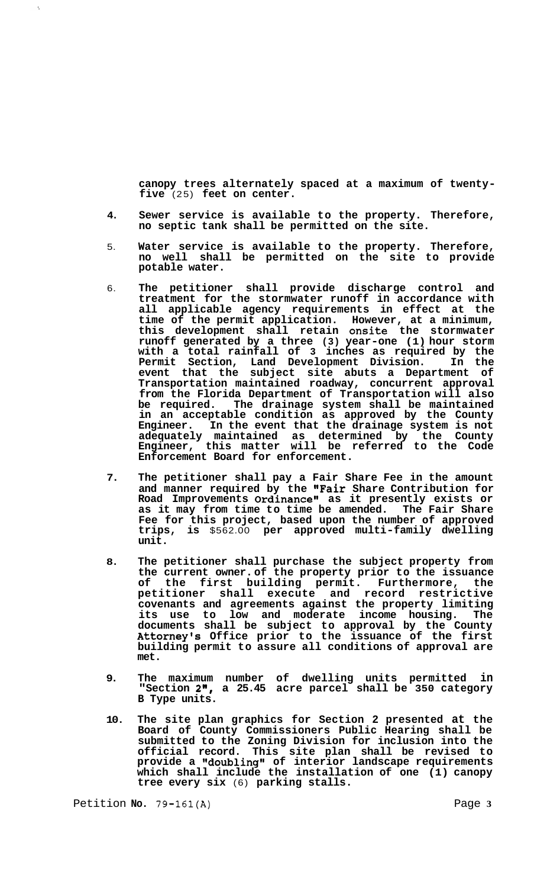**canopy trees alternately spaced at a maximum of twenty- five** (25) **feet on center.** 

- **4. Sewer service is available to the property. Therefore, no septic tank shall be permitted on the site.**
- 5. **Water service is available to the property. Therefore, no well shall be permitted on the site to provide potable water.**
- 6. **The petitioner shall provide discharge control and treatment for the stormwater runoff in accordance with all applicable agency requirements in effect at the time of the permit application. However, at a minimum, this development shall retain onsite the stormwater runoff generated by a three (3) year-one (1) hour storm with a total rainfall of 3 inches as required by the Permit Section, Land Development Division. In the event that the subject site abuts a Department of Transportation maintained roadway, concurrent approval from the Florida Department of Transportation will also be required. The drainage system shall be maintained in an acceptable condition as approved by the County Engineer. In the event that the drainage system is not adequately maintained as determined by the County Engineer, this matter will be referred to the Code Enforcement Board for enforcement.**
- **7. The petitioner shall pay a Fair Share Fee in the amount and manner required by the "Fair Share Contribution for Road Improvements Ordinance" as it presently exists or as it may from time to time be amended. The Fair Share Fee for this project, based upon the number of approved trips, is** \$562.00 **per approved multi-family dwelling unit.**
- **8. The petitioner shall purchase the subject property from the current owner. of the property prior to the issuance of the first building permit. Furthermore, the petitioner shall execute and record restrictive covenants and agreements against the property limiting its use to low and moderate income housing. The documents shall be subject to approval by the County Attorney's Office prior to the issuance of the first building permit to assure all conditions of approval are met.**
- **9. The maximum number of dwelling units permitted in "Section 2", a 25.45 acre parcel shall be 350 category B Type units.**
- **10. The site plan graphics for Section 2 presented at the Board of County Commissioners Public Hearing shall be submitted to the Zoning Division for inclusion into the official record. This site plan shall be revised to provide a \*\*doublinggg of interior landscape requirements which shall include the installation of one (1) canopy tree every six** (6) **parking stalls.**

Petition **No.** 79-161(A) Page 3

 $\hat{\mathbf{v}}$